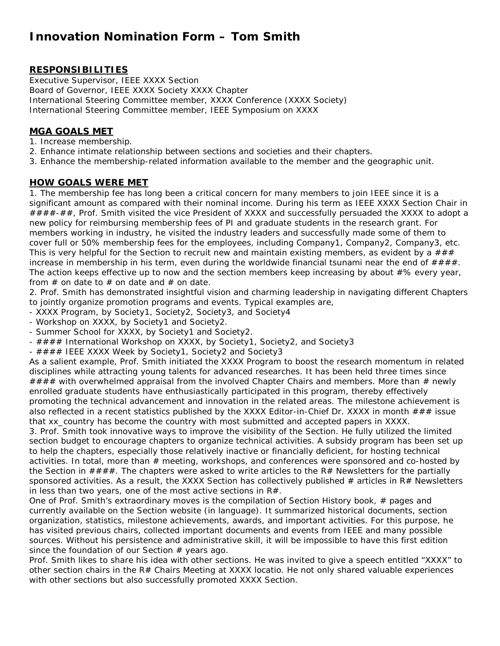# **Innovation Nomination Form – Tom Smith**

## **RESPONSIBILITIES**

Executive Supervisor, IEEE XXXX Section Board of Governor, IEEE XXXX Society XXXX Chapter International Steering Committee member, XXXX Conference (XXXX Society) International Steering Committee member, IEEE Symposium on XXXX

## **MGA GOALS MET**

- 1. Increase membership.
- 2. Enhance intimate relationship between sections and societies and their chapters.
- 3. Enhance the membership-related information available to the member and the geographic unit.

#### **HOW GOALS WERE MET**

1. The membership fee has long been a critical concern for many members to join IEEE since it is a significant amount as compared with their nominal income. During his term as IEEE XXXX Section Chair in ####-##, Prof. Smith visited the vice President of XXXX and successfully persuaded the XXXX to adopt a new policy for reimbursing membership fees of PI and graduate students in the research grant. For members working in industry, he visited the industry leaders and successfully made some of them to cover full or 50% membership fees for the employees, including Company1, Company2, Company3, etc. This is very helpful for the Section to recruit new and maintain existing members, as evident by a  $\# \# \#$ increase in membership in his term, even during the worldwide financial tsunami near the end of  $\# \# \# \#$ . The action keeps effective up to now and the section members keep increasing by about #% every year, from  $#$  on date to  $#$  on date and  $#$  on date.

2. Prof. Smith has demonstrated insightful vision and charming leadership in navigating different Chapters to jointly organize promotion programs and events. Typical examples are,

- XXXX Program, by Society1, Society2, Society3, and Society4
- Workshop on XXXX, by Society1 and Society2.
- Summer School for XXXX, by Society1 and Society2.
- #### International Workshop on XXXX, by Society1, Society2, and Society3
- #### IEEE XXXX Week by Society1, Society2 and Society3

As a salient example, Prof. Smith initiated the XXXX Program to boost the research momentum in related disciplines while attracting young talents for advanced researches. It has been held three times since #### with overwhelmed appraisal from the involved Chapter Chairs and members. More than # newly enrolled graduate students have enthusiastically participated in this program, thereby effectively promoting the technical advancement and innovation in the related areas. The milestone achievement is also reflected in a recent statistics published by the XXXX Editor-in-Chief Dr. XXXX in month  $\#H\#$  issue that xx\_country has become the country with most submitted and accepted papers in XXXX.

3. Prof. Smith took innovative ways to improve the visibility of the Section. He fully utilized the limited section budget to encourage chapters to organize technical activities. A subsidy program has been set up to help the chapters, especially those relatively inactive or financially deficient, for hosting technical activities. In total, more than  $#$  meeting, workshops, and conferences were sponsored and co-hosted by the Section in  $\# \# \#$ . The chapters were asked to write articles to the R $\#$  Newsletters for the partially sponsored activities. As a result, the XXXX Section has collectively published # articles in R# Newsletters in less than two years, one of the most active sections in R#.

One of Prof. Smith's extraordinary moves is the compilation of Section History book, # pages and currently available on the Section website (in language). It summarized historical documents, section organization, statistics, milestone achievements, awards, and important activities. For this purpose, he has visited previous chairs, collected important documents and events from IEEE and many possible sources. Without his persistence and administrative skill, it will be impossible to have this first edition since the foundation of our Section  $#$  years ago.

Prof. Smith likes to share his idea with other sections. He was invited to give a speech entitled "XXXX" to other section chairs in the R# Chairs Meeting at XXXX locatio. He not only shared valuable experiences with other sections but also successfully promoted XXXX Section.